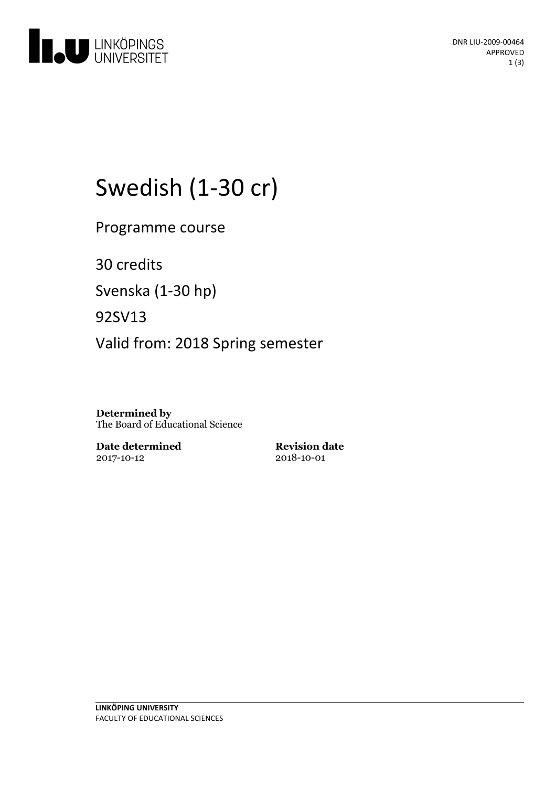

# Swedish (1-30 cr)

Programme course

30 credits

Svenska(1-30 hp)

92SV13

Valid from: 2018 Spring semester

**Determined by** The Board of Educational Science

**Date determined** 2017-10-12

**Revision date** 2018-10-01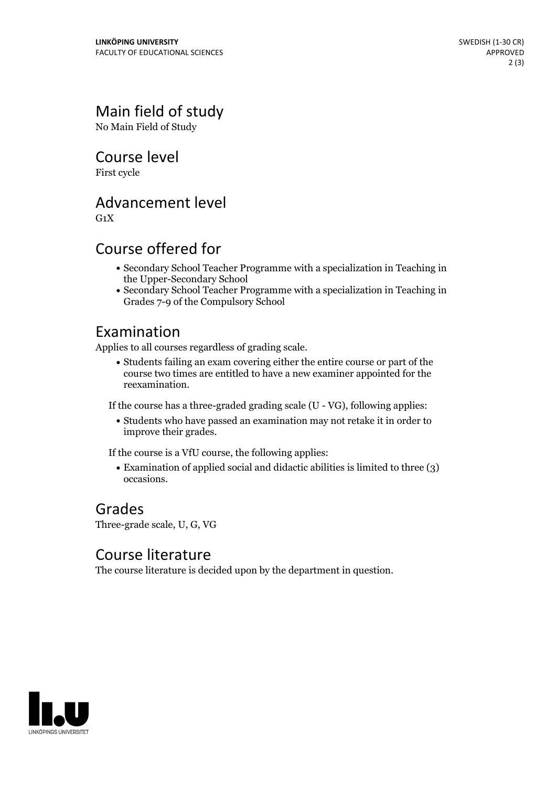### Main field of study

No Main Field of Study

Course level

First cycle

#### Advancement level

 $G_1X$ 

#### Course offered for

- Secondary School Teacher Programme with a specialization in Teaching in the Upper-Secondary School
- Secondary School Teacher Programme with a specialization in Teaching in Grades 7-9 of the Compulsory School

#### Examination

Applies to all courses regardless of grading scale.

Students failing an exam covering either the entire course or part of the course two times are entitled to have a new examiner appointed for the reexamination.

If the course has a three-graded grading scale (U - VG), following applies:

Students who have passed an examination may not retake it in order to improve their grades.

If the course is a VfU course, the following applies:

Examination of applied social and didactic abilities is limited to three (3) occasions.

## Grades

Three-grade scale, U, G, VG

#### Course literature

The course literature is decided upon by the department in question.